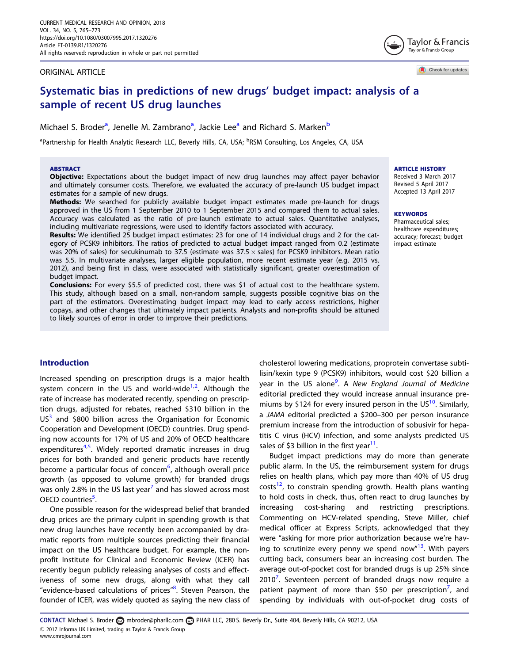#### <span id="page-0-0"></span>ORIGINAL ARTICLE

Taylor & Francis Taylor & Francis Group

Check for updates

# Systematic bias in predictions of new drugs' budget impact: analysis of a sample of recent US drug launches

Michael S. Broder<sup>a</sup>, Jenelle M. Zambrano<sup>a</sup>, Jackie Lee<sup>a</sup> and Richard S. Marken<sup>b</sup>

<sup>a</sup>Partnership for Health Analytic Research LLC, Beverly Hills, CA, USA; <sup>b</sup>RSM Consulting, Los Angeles, CA, USA

# ABSTRACT

**Objective:** Expectations about the budget impact of new drug launches may affect payer behavior and ultimately consumer costs. Therefore, we evaluated the accuracy of pre-launch US budget impact estimates for a sample of new drugs.

Methods: We searched for publicly available budget impact estimates made pre-launch for drugs approved in the US from 1 September 2010 to 1 September 2015 and compared them to actual sales. Accuracy was calculated as the ratio of pre-launch estimate to actual sales. Quantitative analyses, including multivariate regressions, were used to identify factors associated with accuracy.

Results: We identified 25 budget impact estimates: 23 for one of 14 individual drugs and 2 for the category of PCSK9 inhibitors. The ratios of predicted to actual budget impact ranged from 0.2 (estimate was 20% of sales) for secukinumab to 37.5 (estimate was  $37.5 \times$  sales) for PCSK9 inhibitors. Mean ratio was 5.5. In multivariate analyses, larger eligible population, more recent estimate year (e.g. 2015 vs. 2012), and being first in class, were associated with statistically significant, greater overestimation of budget impact.

**Conclusions:** For every \$5.5 of predicted cost, there was \$1 of actual cost to the healthcare system. This study, although based on a small, non-random sample, suggests possible cognitive bias on the part of the estimators. Overestimating budget impact may lead to early access restrictions, higher copays, and other changes that ultimately impact patients. Analysts and non-profits should be attuned to likely sources of error in order to improve their predictions.

# Introduction

Increased spending on prescription drugs is a major health system concern in the US and world-wide<sup>[1](#page-6-0),[2](#page-6-0)</sup>. Although the rate of increase has moderated recently, spending on prescription drugs, adjusted for rebates, reached \$310 billion in the  $US<sup>3</sup>$  $US<sup>3</sup>$  $US<sup>3</sup>$  and \$800 billion across the Organisation for Economic Cooperation and Development (OECD) countries. Drug spending now accounts for 17% of US and 20% of OECD healthcare expenditures<sup>[4,5](#page-6-0)</sup>. Widely reported dramatic increases in drug prices for both branded and generic products have recently become a particular focus of concern<sup>6</sup>, although overall price growth (as opposed to volume growth) for branded drugs was only 2.8% in the US last year $\prime$  and has slowed across most OECD countries<sup>[5](#page-6-0)</sup>.

One possible reason for the widespread belief that branded drug prices are the primary culprit in spending growth is that new drug launches have recently been accompanied by dramatic reports from multiple sources predicting their financial impact on the US healthcare budget. For example, the nonprofit Institute for Clinical and Economic Review (ICER) has recently begun publicly releasing analyses of costs and effectiveness of some new drugs, along with what they call "evidence-based calculations of prices"<sup>[8](#page-6-0)</sup>. Steven Pearson, the founder of ICER, was widely quoted as saying the new class of ARTICLE HISTORY

Received 3 March 2017 Revised 5 April 2017 Accepted 13 April 2017

#### **KEYWORDS**

Pharmaceutical sales; healthcare expenditures; accuracy; forecast; budget impact estimate

cholesterol lowering medications, proprotein convertase subtilisin/kexin type 9 (PCSK9) inhibitors, would cost \$20 billion a year in the US alone<sup>[9](#page-6-0)</sup>. A New England Journal of Medicine editorial predicted they would increase annual insurance premiums by \$124 for every insured person in the  $US^{10}$  $US^{10}$  $US^{10}$ . Similarly, a JAMA editorial predicted a \$200–300 per person insurance premium increase from the introduction of sobusivir for hepatitis C virus (HCV) infection, and some analysts predicted US sales of \$3 billion in the first year $<sup>11</sup>$  $<sup>11</sup>$  $<sup>11</sup>$ .</sup>

Budget impact predictions may do more than generate public alarm. In the US, the reimbursement system for drugs relies on health plans, which pay more than 40% of US drug  $costs<sup>12</sup>$  $costs<sup>12</sup>$  $costs<sup>12</sup>$ , to constrain spending growth. Health plans wanting to hold costs in check, thus, often react to drug launches by increasing cost-sharing and restricting prescriptions. Commenting on HCV-related spending, Steve Miller, chief medical officer at Express Scripts, acknowledged that they were "asking for more prior authorization because we're hav-ing to scrutinize every penny we spend now"<sup>[13](#page-6-0)</sup>. With payers cutting back, consumers bear an increasing cost burden. The average out-of-pocket cost for branded drugs is up 25% since  $2010<sup>7</sup>$  $2010<sup>7</sup>$  $2010<sup>7</sup>$ . Seventeen percent of branded drugs now require a patient payment of more than \$50 per prescription<sup>7</sup>, and spending by individuals with out-of-pocket drug costs of

CONTACT Michael S. Broder @ mbroder@pharllc.com D PHAR LLC, 280 S. Beverly Dr., Suite 404, Beverly Hills, CA 90212, USA 2017 Informa UK Limited, trading as Taylor & Francis Group www.cmrojournal.com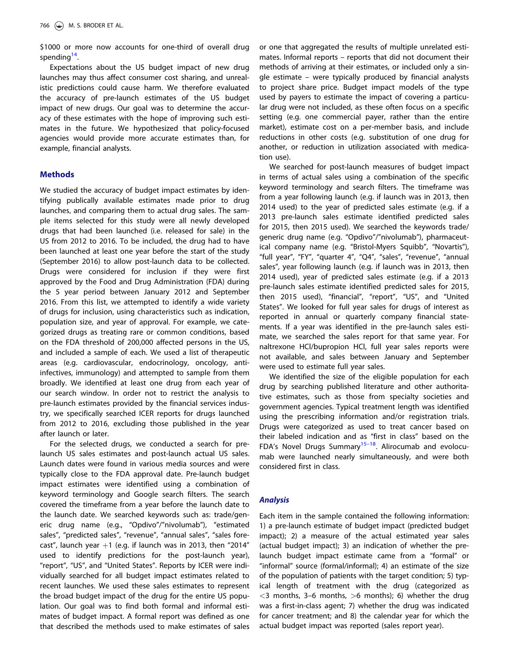<span id="page-1-0"></span>\$1000 or more now accounts for one-third of overall drug spending $14$ .

Expectations about the US budget impact of new drug launches may thus affect consumer cost sharing, and unrealistic predictions could cause harm. We therefore evaluated the accuracy of pre-launch estimates of the US budget impact of new drugs. Our goal was to determine the accuracy of these estimates with the hope of improving such estimates in the future. We hypothesized that policy-focused agencies would provide more accurate estimates than, for example, financial analysts.

#### Methods

We studied the accuracy of budget impact estimates by identifying publically available estimates made prior to drug launches, and comparing them to actual drug sales. The sample items selected for this study were all newly developed drugs that had been launched (i.e. released for sale) in the US from 2012 to 2016. To be included, the drug had to have been launched at least one year before the start of the study (September 2016) to allow post-launch data to be collected. Drugs were considered for inclusion if they were first approved by the Food and Drug Administration (FDA) during the 5 year period between January 2012 and September 2016. From this list, we attempted to identify a wide variety of drugs for inclusion, using characteristics such as indication, population size, and year of approval. For example, we categorized drugs as treating rare or common conditions, based on the FDA threshold of 200,000 affected persons in the US, and included a sample of each. We used a list of therapeutic areas (e.g. cardiovascular, endocrinology, oncology, antiinfectives, immunology) and attempted to sample from them broadly. We identified at least one drug from each year of our search window. In order not to restrict the analysis to pre-launch estimates provided by the financial services industry, we specifically searched ICER reports for drugs launched from 2012 to 2016, excluding those published in the year after launch or later.

For the selected drugs, we conducted a search for prelaunch US sales estimates and post-launch actual US sales. Launch dates were found in various media sources and were typically close to the FDA approval date. Pre-launch budget impact estimates were identified using a combination of keyword terminology and Google search filters. The search covered the timeframe from a year before the launch date to the launch date. We searched keywords such as: trade/generic drug name (e.g., "Opdivo"/"nivolumab"), "estimated sales", "predicted sales", "revenue", "annual sales", "sales forecast", launch year  $+1$  (e.g. if launch was in 2013, then "2014" used to identify predictions for the post-launch year), "report", "US", and "United States". Reports by ICER were individually searched for all budget impact estimates related to recent launches. We used these sales estimates to represent the broad budget impact of the drug for the entire US population. Our goal was to find both formal and informal estimates of budget impact. A formal report was defined as one that described the methods used to make estimates of sales or one that aggregated the results of multiple unrelated estimates. Informal reports – reports that did not document their methods of arriving at their estimates, or included only a single estimate – were typically produced by financial analysts to project share price. Budget impact models of the type used by payers to estimate the impact of covering a particular drug were not included, as these often focus on a specific setting (e.g. one commercial payer, rather than the entire market), estimate cost on a per-member basis, and include reductions in other costs (e.g. substitution of one drug for another, or reduction in utilization associated with medication use).

We searched for post-launch measures of budget impact in terms of actual sales using a combination of the specific keyword terminology and search filters. The timeframe was from a year following launch (e.g. if launch was in 2013, then 2014 used) to the year of predicted sales estimate (e.g. if a 2013 pre-launch sales estimate identified predicted sales for 2015, then 2015 used). We searched the keywords trade/ generic drug name (e.g. "Opdivo"/"nivolumab"), pharmaceutical company name (e.g. "Bristol-Myers Squibb", "Novartis"), "full year", "FY", "quarter 4", "Q4", "sales", "revenue", "annual sales", year following launch (e.g. if launch was in 2013, then 2014 used), year of predicted sales estimate (e.g. if a 2013 pre-launch sales estimate identified predicted sales for 2015, then 2015 used), "financial", "report", "US", and "United States". We looked for full year sales for drugs of interest as reported in annual or quarterly company financial statements. If a year was identified in the pre-launch sales estimate, we searched the sales report for that same year. For naltrexone HCl/bupropion HCl, full year sales reports were not available, and sales between January and September were used to estimate full year sales.

We identified the size of the eligible population for each drug by searching published literature and other authoritative estimates, such as those from specialty societies and government agencies. Typical treatment length was identified using the prescribing information and/or registration trials. Drugs were categorized as used to treat cancer based on their labeled indication and as "first in class" based on the FDA's Novel Drugs Summary<sup>15-[18](#page-6-0)</sup>. Alirocumab and evolocumab were launched nearly simultaneously, and were both considered first in class.

#### Analysis

Each item in the sample contained the following information: 1) a pre-launch estimate of budget impact (predicted budget impact); 2) a measure of the actual estimated year sales (actual budget impact); 3) an indication of whether the prelaunch budget impact estimate came from a "formal" or "informal" source (formal/informal); 4) an estimate of the size of the population of patients with the target condition; 5) typical length of treatment with the drug (categorized as  $<$ 3 months, 3–6 months,  $>$ 6 months); 6) whether the drug was a first-in-class agent; 7) whether the drug was indicated for cancer treatment; and 8) the calendar year for which the actual budget impact was reported (sales report year).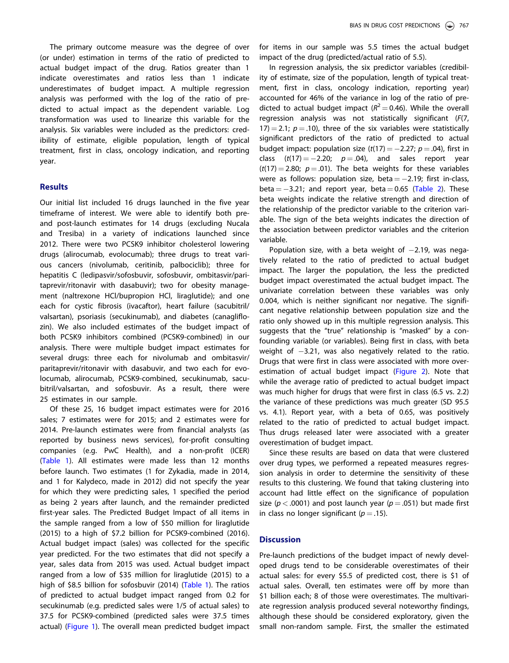The primary outcome measure was the degree of over (or under) estimation in terms of the ratio of predicted to actual budget impact of the drug. Ratios greater than 1 indicate overestimates and ratios less than 1 indicate underestimates of budget impact. A multiple regression analysis was performed with the log of the ratio of predicted to actual impact as the dependent variable. Log transformation was used to linearize this variable for the analysis. Six variables were included as the predictors: credibility of estimate, eligible population, length of typical treatment, first in class, oncology indication, and reporting year.

# **Results**

Our initial list included 16 drugs launched in the five year timeframe of interest. We were able to identify both preand post-launch estimates for 14 drugs (excluding Nucala and Tresiba) in a variety of indications launched since 2012. There were two PCSK9 inhibitor cholesterol lowering drugs (alirocumab, evolocumab); three drugs to treat various cancers (nivolumab, ceritinib, palbociclib); three for hepatitis C (ledipasvir/sofosbuvir, sofosbuvir, ombitasvir/paritaprevir/ritonavir with dasabuvir); two for obesity management (naltrexone HCl/bupropion HCl, liraglutide); and one each for cystic fibrosis (ivacaftor), heart failure (sacubitril/ valsartan), psoriasis (secukinumab), and diabetes (canagliflozin). We also included estimates of the budget impact of both PCSK9 inhibitors combined (PCSK9-combined) in our analysis. There were multiple budget impact estimates for several drugs: three each for nivolumab and ombitasvir/ paritaprevir/ritonavir with dasabuvir, and two each for evolocumab, alirocumab, PCSK9-combined, secukinumab, sacubitril/valsartan, and sofosbuvir. As a result, there were 25 estimates in our sample.

Of these 25, 16 budget impact estimates were for 2016 sales; 7 estimates were for 2015; and 2 estimates were for 2014. Pre-launch estimates were from financial analysts (as reported by business news services), for-profit consulting companies (e.g. PwC Health), and a non-profit (ICER) ([Table 1\)](#page-3-0). All estimates were made less than 12 months before launch. Two estimates (1 for Zykadia, made in 2014, and 1 for Kalydeco, made in 2012) did not specify the year for which they were predicting sales, 1 specified the period as being 2 years after launch, and the remainder predicted first-year sales. The Predicted Budget Impact of all items in the sample ranged from a low of \$50 million for liraglutide (2015) to a high of \$7.2 billion for PCSK9-combined (2016). Actual budget impact (sales) was collected for the specific year predicted. For the two estimates that did not specify a year, sales data from 2015 was used. Actual budget impact ranged from a low of \$35 million for liraglutide (2015) to a high of \$8.5 billion for sofosbuvir (2014) [\(Table 1](#page-3-0)). The ratios of predicted to actual budget impact ranged from 0.2 for secukinumab (e.g. predicted sales were 1/5 of actual sales) to 37.5 for PCSK9-combined (predicted sales were 37.5 times actual) ([Figure 1](#page-4-0)). The overall mean predicted budget impact for items in our sample was 5.5 times the actual budget impact of the drug (predicted/actual ratio of 5.5).

In regression analysis, the six predictor variables (credibility of estimate, size of the population, length of typical treatment, first in class, oncology indication, reporting year) accounted for 46% of the variance in log of the ratio of predicted to actual budget impact ( $R^2 = 0.46$ ). While the overall regression analysis was not statistically significant (F(7,  $17$ ) = 2.1;  $p = .10$ ), three of the six variables were statistically significant predictors of the ratio of predicted to actual budget impact: population size  $(t(17) = -2.27; p = .04)$ , first in class  $(t(17) = -2.20; p = .04)$ , and sales report year  $(t(17) = 2.80; p = .01)$ . The beta weights for these variables were as follows: population size, beta  $= -2.19$ ; first in-class, beta  $= -3.21$ ; and report year, beta  $= 0.65$  ([Table 2\)](#page-4-0). These beta weights indicate the relative strength and direction of the relationship of the predictor variable to the criterion variable. The sign of the beta weights indicates the direction of the association between predictor variables and the criterion variable.

Population size, with a beta weight of  $-2.19$ , was negatively related to the ratio of predicted to actual budget impact. The larger the population, the less the predicted budget impact overestimated the actual budget impact. The univariate correlation between these variables was only 0.004, which is neither significant nor negative. The significant negative relationship between population size and the ratio only showed up in this multiple regression analysis. This suggests that the "true" relationship is "masked" by a confounding variable (or variables). Being first in class, with beta weight of  $-3.21$ , was also negatively related to the ratio. Drugs that were first in class were associated with more overestimation of actual budget impact ([Figure 2\)](#page-4-0). Note that while the average ratio of predicted to actual budget impact was much higher for drugs that were first in class (6.5 vs. 2.2) the variance of these predictions was much greater (SD 95.5 vs. 4.1). Report year, with a beta of 0.65, was positively related to the ratio of predicted to actual budget impact. Thus drugs released later were associated with a greater overestimation of budget impact.

Since these results are based on data that were clustered over drug types, we performed a repeated measures regression analysis in order to determine the sensitivity of these results to this clustering. We found that taking clustering into account had little effect on the significance of population size ( $p < .0001$ ) and post launch year ( $p = .051$ ) but made first in class no longer significant ( $p = .15$ ).

# **Discussion**

Pre-launch predictions of the budget impact of newly developed drugs tend to be considerable overestimates of their actual sales: for every \$5.5 of predicted cost, there is \$1 of actual sales. Overall, ten estimates were off by more than \$1 billion each; 8 of those were overestimates. The multivariate regression analysis produced several noteworthy findings, although these should be considered exploratory, given the small non-random sample. First, the smaller the estimated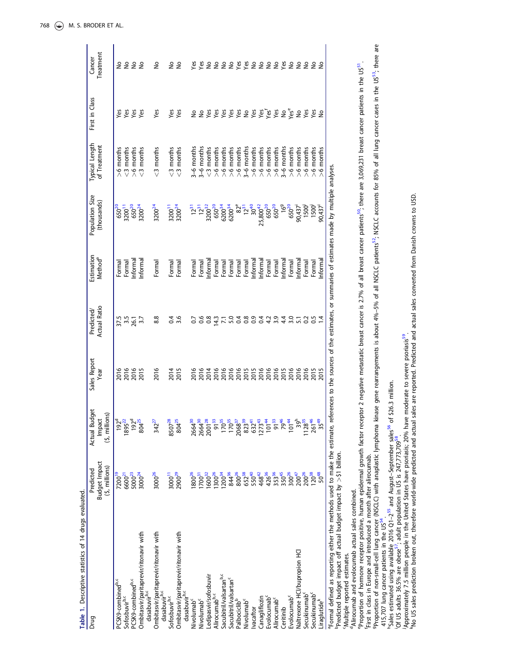| ١<br>١                                                                                                         |
|----------------------------------------------------------------------------------------------------------------|
| and the state of the state of the state of the state of the state of the state of the state of the state of th |
| ֚֚                                                                                                             |
| ֚֚<br>֠<br>l                                                                                                   |
|                                                                                                                |
| l                                                                                                              |
|                                                                                                                |

<span id="page-3-0"></span>

| Drug                                                                       | Budget Impact<br>(\$, millions)<br>Predicted | Actual Budget<br>Impact<br>(\$, millions) | Sales Report<br>Year | Predicted/<br>Actual Ratio | Estimation<br>Method <sup>a</sup> | Population Size<br>(thousands)                                                                   | Typical Length<br>of Treatment                            | First in Class        | Treatment<br>Cancer                            |
|----------------------------------------------------------------------------|----------------------------------------------|-------------------------------------------|----------------------|----------------------------|-----------------------------------|--------------------------------------------------------------------------------------------------|-----------------------------------------------------------|-----------------------|------------------------------------------------|
| °CSK9-combined <sup>b,c</sup>                                              | 7200 <sup>19</sup>                           | $\sqrt{92}$                               |                      |                            |                                   |                                                                                                  |                                                           |                       |                                                |
| Sofosbuvir <sup>b,c</sup>                                                  | $6600^{21}$                                  | $1895^{22}$                               |                      |                            |                                   |                                                                                                  |                                                           |                       |                                                |
| PCSK9-combined <sup>b,c</sup>                                              | $5000^{23}$                                  | 192 <sup>d</sup>                          | 2016<br>2016<br>2015 | $37.5$<br>$26.1$<br>$3.7$  | Formal<br>Formal<br>Informal      | $650^{20}$<br>3200 <sup>11</sup><br>550 <sup>24</sup><br>3200 <sup>24</sup>                      | $>6$ months<br>$<$ 3 months<br>$>6$ months                | es<br>Yes<br>Yes      | 2222                                           |
| Ombitasvir/paritaprevir/ritonavir with<br>$d$ asabuvir $b$ , $c$           | $3000^{24}$                                  | 804 <sup>25</sup>                         |                      |                            | nforma                            |                                                                                                  | $<$ 3 months                                              | γes                   |                                                |
| Ombitasvir/paritaprevir/ritonavir with<br>dasabuvir <sup>b,c</sup>         | 3000 <sup>26</sup>                           | 342 <sup>27</sup>                         | 2016                 | 8.8                        | Formal                            | 3200 <sup>24</sup>                                                                               | $<$ 3 months                                              | Yes                   | ş                                              |
| Sofosbuvir <sup>b,c</sup>                                                  | 3000 <sup>11</sup>                           | 8507 <sup>28</sup>                        |                      |                            |                                   |                                                                                                  | $<$ 3 months                                              | γeς                   | ş                                              |
| Ombitasvir/paritaprevir/ritonavir with<br>dasabuvir <sup>b,c</sup>         | 2900 <sup>29</sup>                           | 804 <sup>25</sup>                         | 2014<br>2015         | 3.6                        | Formal<br>Formal                  | 3200 <sup>11</sup><br>3200 <sup>24</sup>                                                         | $<$ 3 months                                              | Yes                   | $\epsilon$                                     |
| vivolumab <sup>c</sup>                                                     | 1800 <sup>26</sup>                           | $2664^{30}$                               | 2016                 |                            | Formal                            |                                                                                                  | $3-6$ months                                              | ş                     |                                                |
| <b>Vivolumab</b> <sup>c</sup>                                              | $1700^{31}$                                  | $2664^{3}$                                |                      | ိ                          |                                   | $12^{31}$                                                                                        | $3-6$ month                                               |                       | វិត ភូទ ទ ទ ទ ភ្នំ ភ្នំ ទ ទ ទ ទ ភ្នំ ទ ទ ទ ទ ទ |
| edipasvir/sofosbuvir.                                                      | $1600^{32}$                                  | $2001^{28}$                               |                      | $\frac{8}{3}$              | Formal<br>Informal                | $3200^{32}$                                                                                      | $<$ 3 months                                              |                       |                                                |
| Alirocumab <sup>b,c</sup>                                                  | $1300^{26}$                                  | $91^3$                                    |                      | $\frac{4.3}{7.1}$          | Formal                            | 650 <sup>20</sup>                                                                                |                                                           | ៜৡৡৡৡৡঽৡৡৡৡৡৡৡৡৡ<br>ៜ |                                                |
| Sacubitril/valsartan <sup>b,c</sup>                                        | $1200^{34}$                                  | $170^{3}$                                 |                      |                            |                                   | $6200^{34}$                                                                                      | $>6$ months<br>$>6$ months                                |                       |                                                |
| acubitril/valsartan <sup>c</sup>                                           | 844 <sup>36</sup>                            | $170^{3}$                                 |                      | $\frac{5}{0.4}$            | Formal<br>Formal                  |                                                                                                  | $>6$ months<br>$>6$ months<br>3-6 months                  |                       |                                                |
| albociclib <sup>b</sup>                                                    | 800 <sup>26</sup>                            | 2068 <sup>3</sup>                         |                      |                            |                                   | $82^e$                                                                                           |                                                           |                       |                                                |
| <b>divolumab</b> <sup>c</sup>                                              | 652 <sup>38</sup><br>550 <sup>40</sup>       | $823$ <sup>35</sup>                       |                      | 0.8                        | Formal<br>Formal<br>Informal      | $12^{31}$                                                                                        |                                                           |                       |                                                |
| vacaftor                                                                   |                                              | $632^{4}$                                 |                      | $rac{6}{6}$                |                                   | $30^{40}$                                                                                        | $>6$ months                                               |                       |                                                |
| anagliflozin                                                               | 46842                                        | $1273^{43}$                               |                      |                            | Informal                          | $25,800^{42}$                                                                                    | $>6$ months<br>$>6$ months<br>$>6$ months<br>$3-6$ months |                       |                                                |
| ivolocumab <sup>c</sup>                                                    | 42636                                        | $101\frac{4}{4}$                          |                      | 4.2                        | Formal                            | 650 <sup>20</sup>                                                                                |                                                           |                       |                                                |
| Alirocumab <sup>c</sup>                                                    | 35336                                        | $91^3$                                    |                      | 3.9                        | Formal                            | 650 <sup>20</sup>                                                                                |                                                           |                       |                                                |
| <b>Ceritinib</b>                                                           | 35045                                        | 7946                                      |                      |                            | Informal                          | $\frac{169}{1}$                                                                                  |                                                           |                       |                                                |
| Evolocumab <sup>c</sup>                                                    | 300 <sup>26</sup>                            | 101 <sup>4</sup>                          |                      |                            | Formal                            | 650 <sup>20</sup>                                                                                | $>6$ months                                               |                       |                                                |
| Valtrexone HCl/bupropion HCl                                               | $200^{47}$                                   | 39                                        |                      |                            | nforma                            | 90,437                                                                                           | >6 months                                                 |                       |                                                |
| ecukinumab <sup>c</sup>                                                    | 200 <sup>26</sup>                            | $1128^{31}$                               |                      | $\frac{2}{5}$              | Formal                            | 1500 <sup>j</sup>                                                                                | >6 months                                                 |                       |                                                |
| ecukinumab <sup>c</sup>                                                    | $120^{38}$                                   | 261 <sup>4</sup>                          | 2015<br>2015<br>2015 |                            | Formal                            | 1500 <sup>j</sup><br>90,437 <sup>j</sup>                                                         | >6 months                                                 |                       |                                                |
| iraglutide <sup>k</sup>                                                    | $50^{48}$                                    | 35 <sup>4</sup>                           |                      |                            | nformal                           |                                                                                                  | months<br>$\frac{8}{2}$                                   |                       |                                                |
| 'Formal defined as reporting either the methods used to make the estimate, |                                              |                                           |                      |                            |                                   | references to the sources of the estimates, or summaries of estimates made by multiple analyses. |                                                           |                       |                                                |

Formal defined as reporting either the methods used to make the estimate, references to the sources of the estimates, or summaries of estimates made by multiple analyses.<br>Predicted budget impact off actual budget impact by Predicted budget impact off actual budget impact by  $>$  \$1 billion. >\$1 billion.

<sup>c</sup>Multiple reported estimates.<br><sup>d</sup>Alirocumab and evolocumab actual sales combined.  $d$ Alirocumab and evolocumab actual sales combined. cMultiple reported estimates.

<sup>e</sup>proportion of hormone receptor positive, human epidermal growth factor receptor 2 negative metastatic breast cancer is 2.7% of all breast cancer patients<sup>50</sup>; there are 3,069,231 breast cancer patients in the US<sup>51</sup>.<br><sup>F</sup> <sup>e</sup>proportion of hormone receptor positive, human epidermal growth factor receptor 2 negative metastatic breast cancer is 2.7% of all breast cancer patients<sup>59</sup>; there are 3,069,231 breast cancer patients in the US<sup>31</sup>.<br>Fi

<sup>9 pross in Luroye and intoucace a mortul arte announatio.<br>115707 lung cancer patients in the US<sup>43</sup>, (NSCLC) with anapbasitc lymphoma kinase gene rearrangements is about 4%–5% of all NSCLC patients<sup>22</sup>, NSCLC accounts f</sup> Pproportion of non-small-cell lung cancer (NSCLC) with anaplastic lymphoma kinase gene rearrangements is about 4%–5% of all NSCLC patients<sup>[52](#page-7-0)</sup>; NSCLC accounts for 85% of all lung cancer cases in the US<sup>[53](#page-7-0)</sup>; there are

415,707 lung cancer patients in the US<sup>54</sup>.<br>"Sales estimated using available 2016 Q1–2<sup>[55](#page-7-0)</sup> and August–September sales<sup>[56](#page-7-0)</sup> of \$26.3 million.<br>"Of US adults 36.5% are obes<sup>e7</sup>; adult population in US is 247,773,709<sup>[58](#page-8-0)</sup>.<br>"Appr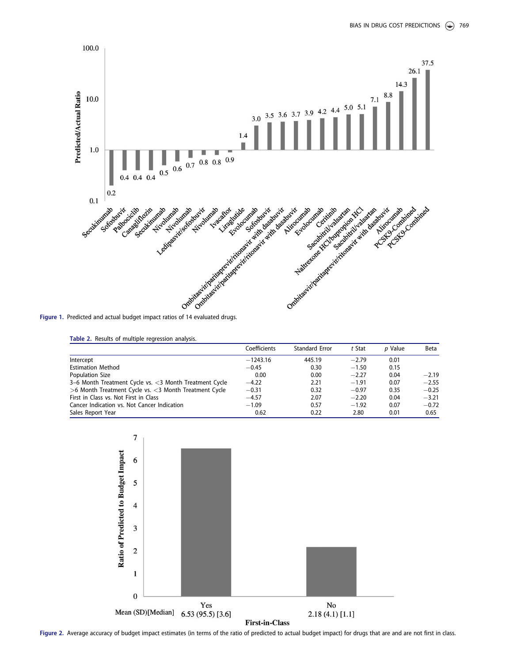<span id="page-4-0"></span>

Table 2. Results of multiple regression analysis.

|                                                         | Coefficients | <b>Standard Error</b> | t Stat  | <i>p</i> Value | <b>Beta</b> |
|---------------------------------------------------------|--------------|-----------------------|---------|----------------|-------------|
| Intercept                                               | $-1243.16$   | 445.19                | $-2.79$ | 0.01           |             |
| <b>Estimation Method</b>                                | $-0.45$      | 0.30                  | $-1.50$ | 0.15           |             |
| Population Size                                         | 0.00         | 0.00                  | $-2.27$ | 0.04           | $-2.19$     |
| 3-6 Month Treatment Cycle vs. < 3 Month Treatment Cycle | $-4.22$      | 2.21                  | $-1.91$ | 0.07           | $-2.55$     |
| >6 Month Treatment Cycle vs. < 3 Month Treatment Cycle  | $-0.31$      | 0.32                  | $-0.97$ | 0.35           | $-0.25$     |
| First in Class vs. Not First in Class                   | $-4.57$      | 2.07                  | $-2.20$ | 0.04           | $-3.21$     |
| Cancer Indication vs. Not Cancer Indication             | $-1.09$      | 0.57                  | $-1.92$ | 0.07           | $-0.72$     |
| Sales Report Year                                       | 0.62         | 0.22                  | 2.80    | 0.01           | 0.65        |



Figure 2. Average accuracy of budget impact estimates (in terms of the ratio of predicted to actual budget impact) for drugs that are and are not first in class.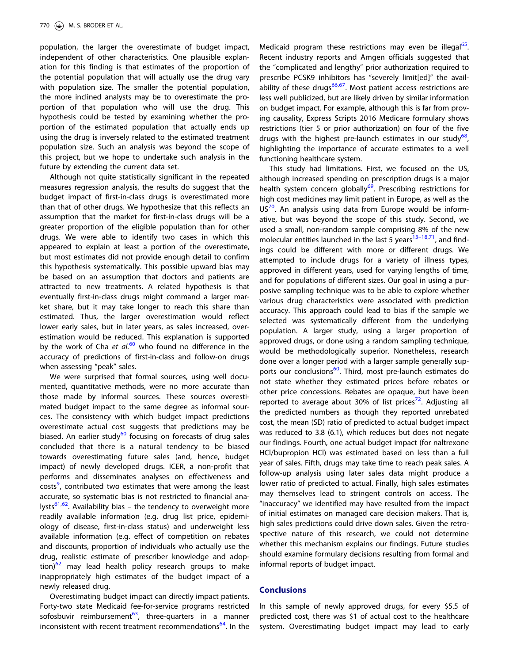<span id="page-5-0"></span>population, the larger the overestimate of budget impact, independent of other characteristics. One plausible explanation for this finding is that estimates of the proportion of the potential population that will actually use the drug vary with population size. The smaller the potential population, the more inclined analysts may be to overestimate the proportion of that population who will use the drug. This hypothesis could be tested by examining whether the proportion of the estimated population that actually ends up using the drug is inversely related to the estimated treatment population size. Such an analysis was beyond the scope of this project, but we hope to undertake such analysis in the future by extending the current data set.

Although not quite statistically significant in the repeated measures regression analysis, the results do suggest that the budget impact of first-in-class drugs is overestimated more than that of other drugs. We hypothesize that this reflects an assumption that the market for first-in-class drugs will be a greater proportion of the eligible population than for other drugs. We were able to identify two cases in which this appeared to explain at least a portion of the overestimate, but most estimates did not provide enough detail to confirm this hypothesis systematically. This possible upward bias may be based on an assumption that doctors and patients are attracted to new treatments. A related hypothesis is that eventually first-in-class drugs might command a larger market share, but it may take longer to reach this share than estimated. Thus, the larger overestimation would reflect lower early sales, but in later years, as sales increased, overestimation would be reduced. This explanation is supported by the work of Cha et  $al^{60}$  $al^{60}$  $al^{60}$  who found no difference in the accuracy of predictions of first-in-class and follow-on drugs when assessing "peak" sales.

We were surprised that formal sources, using well documented, quantitative methods, were no more accurate than those made by informal sources. These sources overestimated budget impact to the same degree as informal sources. The consistency with which budget impact predictions overestimate actual cost suggests that predictions may be biased. An earlier study<sup>[60](#page-8-0)</sup> focusing on forecasts of drug sales concluded that there is a natural tendency to be biased towards overestimating future sales (and, hence, budget impact) of newly developed drugs. ICER, a non-profit that performs and disseminates analyses on effectiveness and costs<sup>[9](#page-6-0)</sup>, contributed two estimates that were among the least accurate, so systematic bias is not restricted to financial analysts<sup>61,62</sup>. Availability bias - the tendency to overweight more readily available information (e.g. drug list price, epidemiology of disease, first-in-class status) and underweight less available information (e.g. effect of competition on rebates and discounts, proportion of individuals who actually use the drug, realistic estimate of prescriber knowledge and adop- $\frac{1}{2}$  may lead health policy research groups to make inappropriately high estimates of the budget impact of a newly released drug.

Overestimating budget impact can directly impact patients. Forty-two state Medicaid fee-for-service programs restricted sofosbuvir reimbursement $^{63}$ , three-quarters in a manner inconsistent with recent treatment recommendations $64$ . In the

Medicaid program these restrictions may even be illegal $^{65}$ . Recent industry reports and Amgen officials suggested that the "complicated and lengthy" prior authorization required to prescribe PCSK9 inhibitors has "severely limit[ed]" the availability of these drugs<sup>66,67</sup>. Most patient access restrictions are less well publicized, but are likely driven by similar information on budget impact. For example, although this is far from proving causality, Express Scripts 2016 Medicare formulary shows restrictions (tier 5 or prior authorization) on four of the five drugs with the highest pre-launch estimates in our study<sup>68</sup>, highlighting the importance of accurate estimates to a well functioning healthcare system.

This study had limitations. First, we focused on the US, although increased spending on prescription drugs is a major health system concern globally<sup>69</sup>. Prescribing restrictions for high cost medicines may limit patient in Europe, as well as the  $US<sup>70</sup>$ . An analysis using data from Europe would be informative, but was beyond the scope of this study. Second, we used a small, non-random sample comprising 8% of the new molecular entities launched in the last 5 years $13-18,71$  $13-18,71$  $13-18,71$ , and findings could be different with more or different drugs. We attempted to include drugs for a variety of illness types, approved in different years, used for varying lengths of time, and for populations of different sizes. Our goal in using a purposive sampling technique was to be able to explore whether various drug characteristics were associated with prediction accuracy. This approach could lead to bias if the sample we selected was systematically different from the underlying population. A larger study, using a larger proportion of approved drugs, or done using a random sampling technique, would be methodologically superior. Nonetheless, research done over a longer period with a larger sample generally sup-ports our conclusions<sup>[60](#page-8-0)</sup>. Third, most pre-launch estimates do not state whether they estimated prices before rebates or other price concessions. Rebates are opaque, but have been reported to average about 30% of list prices<sup>[72](#page-8-0)</sup>. Adjusting all the predicted numbers as though they reported unrebated cost, the mean (SD) ratio of predicted to actual budget impact was reduced to 3.8 (6.1), which reduces but does not negate our findings. Fourth, one actual budget impact (for naltrexone HCl/bupropion HCl) was estimated based on less than a full year of sales. Fifth, drugs may take time to reach peak sales. A follow-up analysis using later sales data might produce a lower ratio of predicted to actual. Finally, high sales estimates may themselves lead to stringent controls on access. The "inaccuracy" we identified may have resulted from the impact of initial estimates on managed care decision makers. That is, high sales predictions could drive down sales. Given the retrospective nature of this research, we could not determine whether this mechanism explains our findings. Future studies should examine formulary decisions resulting from formal and informal reports of budget impact.

# **Conclusions**

In this sample of newly approved drugs, for every \$5.5 of predicted cost, there was \$1 of actual cost to the healthcare system. Overestimating budget impact may lead to early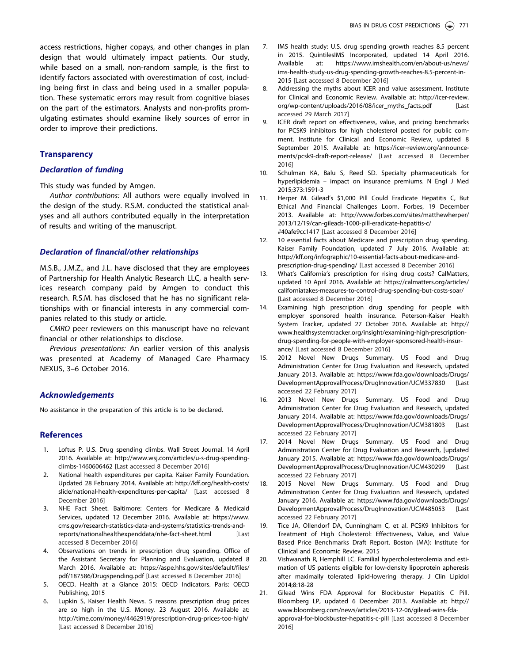<span id="page-6-0"></span>access restrictions, higher copays, and other changes in plan design that would ultimately impact patients. Our study, while based on a small, non-random sample, is the first to identify factors associated with overestimation of cost, including being first in class and being used in a smaller population. These systematic errors may result from cognitive biases on the part of the estimators. Analysts and non-profits promulgating estimates should examine likely sources of error in order to improve their predictions.

# **Transparency**

#### Declaration of funding

This study was funded by Amgen.

Author contributions: All authors were equally involved in the design of the study. R.S.M. conducted the statistical analyses and all authors contributed equally in the interpretation of results and writing of the manuscript.

#### Declaration of financial/other relationships

M.S.B., J.M.Z., and J.L. have disclosed that they are employees of Partnership for Health Analytic Research LLC, a health services research company paid by Amgen to conduct this research. R.S.M. has disclosed that he has no significant relationships with or financial interests in any commercial companies related to this study or article.

CMRO peer reviewers on this manuscript have no relevant financial or other relationships to disclose.

Previous presentations: An earlier version of this analysis was presented at Academy of Managed Care Pharmacy NEXUS, 3–6 October 2016.

## Acknowledgements

No assistance in the preparation of this article is to be declared.

#### References

- [1. L](#page-0-0)oftus P. U.S. Drug spending climbs. Wall Street Journal. 14 April 2016. Available at: [http://www.wsj.com/articles/u-s-drug-spending](http://www.wsj.com/articles/u-s-drug-spending-climbs-1460606462)[climbs-1460606462](http://www.wsj.com/articles/u-s-drug-spending-climbs-1460606462) [Last accessed 8 December 2016]
- [2. N](#page-0-0)ational health expenditures per capita. Kaiser Family Foundation. Updated 28 February 2014. Available at: [http://kff.org/health-costs/](http://kff.org/health-costs/slide/national-health-expenditures-per-capita/) [slide/national-health-expenditures-per-capita/](http://kff.org/health-costs/slide/national-health-expenditures-per-capita/) [Last accessed 8 December 2016]
- [3. N](#page-0-0)HE Fact Sheet. Baltimore: Centers for Medicare & Medicaid Services, updated 12 December 2016. Available at: [https://www.](https://www.cms.gov/research-statistics-data-and-systems/statistics-trends-and-reports/nationalhealthexpenddata/nhe-fact-sheet.html) [cms.gov/research-statistics-data-and-systems/statistics-trends-and](https://www.cms.gov/research-statistics-data-and-systems/statistics-trends-and-reports/nationalhealthexpenddata/nhe-fact-sheet.html)[reports/nationalhealthexpenddata/nhe-fact-sheet.html](https://www.cms.gov/research-statistics-data-and-systems/statistics-trends-and-reports/nationalhealthexpenddata/nhe-fact-sheet.html) [Last accessed 8 December 2016]
- [4. O](#page-0-0)bservations on trends in prescription drug spending. Office of the Assistant Secretary for Planning and Evaluation, updated 8 March 2016. Available at: [https://aspe.hhs.gov/sites/default/files/](https://aspe.hhs.gov/sites/default/files/pdf/187586/Drugspending.pdf) [pdf/187586/Drugspending.pdf](https://aspe.hhs.gov/sites/default/files/pdf/187586/Drugspending.pdf) [Last accessed 8 December 2016]
- [5. O](#page-0-0)ECD. Health at a Glance 2015: OECD Indicators. Paris: OECD Publishing, 2015
- [6. L](#page-0-0)upkin S, Kaiser Health News. 5 reasons prescription drug prices are so high in the U.S. Money. 23 August 2016. Available at: <http://time.com/money/4462919/prescription-drug-prices-too-high/> [Last accessed 8 December 2016]
- [7. I](#page-0-0)MS health study: U.S. drug spending growth reaches 8.5 percent in 2015. QuintilesIMS Incorporated, updated 14 April 2016. Available at: [https://www.imshealth.com/en/about-us/news/](https://www.imshealth.com/en/about-us/news/ims-health-study-us-drug-spending-growth-reaches-8.5-percent-in-2015) [ims-health-study-us-drug-spending-growth-reaches-8.5-percent-in-](https://www.imshealth.com/en/about-us/news/ims-health-study-us-drug-spending-growth-reaches-8.5-percent-in-2015)[2015](https://www.imshealth.com/en/about-us/news/ims-health-study-us-drug-spending-growth-reaches-8.5-percent-in-2015) [Last accessed 8 December 2016]
- [8. A](#page-0-0)ddressing the myths about ICER and value assessment. Institute for Clinical and Economic Review. Available at: [http://icer-review.](http://icer-review.org/wp-content/uploads/2016/08/icer_myths_facts.pdf) [org/wp-content/uploads/2016/08/icer\\_myths\\_facts.pdf](http://icer-review.org/wp-content/uploads/2016/08/icer_myths_facts.pdf) [Last accessed 29 March 2017]
- [9. I](#page-0-0)CER draft report on effectiveness, value, and pricing benchmarks for PCSK9 inhibitors for high cholesterol posted for public comment. Institute for Clinical and Economic Review, updated 8 September 2015. Available at: [https://icer-review.org/announce](https://icer-review.org/announcements/pcsk9-draft-report-release/)[ments/pcsk9-draft-report-release/](https://icer-review.org/announcements/pcsk9-draft-report-release/) [Last accessed 8 December 2016]
- [10. S](#page-0-0)chulman KA, Balu S, Reed SD. Specialty pharmaceuticals for hyperlipidemia – impact on insurance premiums. N Engl J Med 2015;373:1591-3
- [11. H](#page-0-0)erper M. Gilead's \$1,000 Pill Could Eradicate Hepatitis C, But Ethical And Financial Challenges Loom. Forbes, 19 December 2013. Available at: [http://www.forbes.com/sites/matthewherper/](http://www.forbes.com/sites/matthewherper/2013/12/19/can-gileads-1000-pill-eradicate-hepatitis-c/#40afe9cc1417) [2013/12/19/can-gileads-1000-pill-eradicate-hepatitis-c/](http://www.forbes.com/sites/matthewherper/2013/12/19/can-gileads-1000-pill-eradicate-hepatitis-c/#40afe9cc1417) [#40afe9cc1417](http://www.forbes.com/sites/matthewherper/2013/12/19/can-gileads-1000-pill-eradicate-hepatitis-c/#40afe9cc1417) [Last accessed 8 December 2016]
- [12. 1](#page-0-0)0 essential facts about Medicare and prescription drug spending. Kaiser Family Foundation, updated 7 July 2016. Available at: [http://kff.org/infographic/10-essential-facts-about-medicare-and](http://kff.org/infographic/10-essential-facts-about-medicare-and-prescription-drug-spending/)[prescription-drug-spending/](http://kff.org/infographic/10-essential-facts-about-medicare-and-prescription-drug-spending/) [Last accessed 8 December 2016]
- [13. W](#page-0-0)hat's California's prescription for rising drug costs? CalMatters, updated 10 April 2016. Available at: [https://calmatters.org/articles/](https://calmatters.org/articles/californiatakes-measures-to-control-drug-spending-but-costs-soar/) [californiatakes-measures-to-control-drug-spending-but-costs-soar/](https://calmatters.org/articles/californiatakes-measures-to-control-drug-spending-but-costs-soar/) [Last accessed 8 December 2016]
- [14. E](#page-1-0)xamining high prescription drug spending for people with employer sponsored health insurance. Peterson-Kaiser Health System Tracker, updated 27 October 2016. Available at: [http://](http://www.healthsystemtracker.org/insight/examining-high-prescription-drug-spending-for-people-with-employer-sponsored-health-insurance/) [www.healthsystemtracker.org/insight/examining-high-prescription](http://www.healthsystemtracker.org/insight/examining-high-prescription-drug-spending-for-people-with-employer-sponsored-health-insurance/)[drug-spending-for-people-with-employer-sponsored-health-insur](http://www.healthsystemtracker.org/insight/examining-high-prescription-drug-spending-for-people-with-employer-sponsored-health-insurance/)[ance/](http://www.healthsystemtracker.org/insight/examining-high-prescription-drug-spending-for-people-with-employer-sponsored-health-insurance/) [Last accessed 8 December 2016]
- [15. 2](#page-1-0)012 Novel New Drugs Summary. US Food and Drug Administration Center for Drug Evaluation and Research, updated January 2013. Available at: [https://www.fda.gov/downloads/Drugs/](https://www.fda.gov/downloads/Drugs/DevelopmentApprovalProcess/DrugInnovation/UCM337830) [DevelopmentApprovalProcess/DrugInnovation/UCM337830](https://www.fda.gov/downloads/Drugs/DevelopmentApprovalProcess/DrugInnovation/UCM337830) [Last accessed 22 February 2017]
- 16. 2013 Novel New Drugs Summary. US Food and Drug Administration Center for Drug Evaluation and Research, updated January 2014. Available at: [https://www.fda.gov/downloads/Drugs/](https://www.fda.gov/downloads/Drugs/DevelopmentApprovalProcess/DrugInnovation/UCM381803) [DevelopmentApprovalProcess/DrugInnovation/UCM381803](https://www.fda.gov/downloads/Drugs/DevelopmentApprovalProcess/DrugInnovation/UCM381803) [Last accessed 22 February 2017]
- 17. 2014 Novel New Drugs Summary. US Food and Drug Administration Center for Drug Evaluation and Research, [updated January 2015. Available at: [https://www.fda.gov/downloads/Drugs/](https://www.fda.gov/downloads/Drugs/DevelopmentApprovalProcess/DrugInnovation/UCM430299) [DevelopmentApprovalProcess/DrugInnovation/UCM430299](https://www.fda.gov/downloads/Drugs/DevelopmentApprovalProcess/DrugInnovation/UCM430299) [Last accessed 22 February 2017]
- 18. 2015 Novel New Drugs Summary. US Food and Drug Administration Center for Drug Evaluation and Research, updated January 2016. Available at: [https://www.fda.gov/downloads/Drugs/](https://www.fda.gov/downloads/Drugs/DevelopmentApprovalProcess/DrugInnovation/UCM485053) [DevelopmentApprovalProcess/DrugInnovation/UCM485053](https://www.fda.gov/downloads/Drugs/DevelopmentApprovalProcess/DrugInnovation/UCM485053) [Last accessed 22 February 2017]
- [19. T](#page-3-0)ice JA, Ollendorf DA, Cunningham C, et al. PCSK9 Inhibitors for Treatment of High Cholesterol: Effectiveness, Value, and Value Based Price Benchmarks Draft Report. Boston (MA): Institute for Clinical and Economic Review, 2015
- [20. V](#page-3-0)ishwanath R, Hemphill LC. Familial hypercholesterolemia and estimation of US patients eligible for low-density lipoprotein apheresis after maximally tolerated lipid-lowering therapy. J Clin Lipidol 2014;8:18-28
- [21. G](#page-3-0)ilead Wins FDA Approval for Blockbuster Hepatitis C Pill. Bloomberg LP, updated 6 December 2013. Available at: [http://](http://www.bloomberg.com/news/articles/2013-12-06/gilead-wins-fda-approval-for-blockbuster-hepatitis-c-pill) [www.bloomberg.com/news/articles/2013-12-06/gilead-wins-fda](http://www.bloomberg.com/news/articles/2013-12-06/gilead-wins-fda-approval-for-blockbuster-hepatitis-c-pill)[approval-for-blockbuster-hepatitis-c-pill](http://www.bloomberg.com/news/articles/2013-12-06/gilead-wins-fda-approval-for-blockbuster-hepatitis-c-pill) [Last accessed 8 December 2016]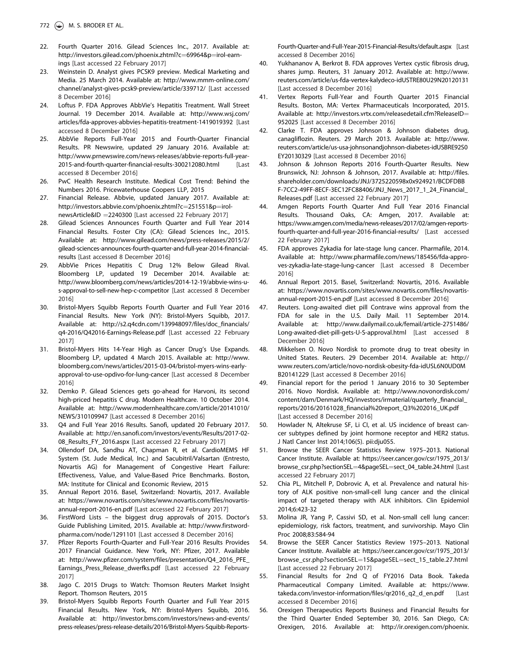- <span id="page-7-0"></span>[22. F](#page-3-0)ourth Quarter 2016. Gilead Sciences Inc., 2017. Available at: [http://investors.gilead.com/phoenix.zhtml?c](http://investors.gilead.com/phoenix.zhtml?c=69964&p=irol-earnings)=69964&p=irol-earn[ings](http://investors.gilead.com/phoenix.zhtml?c=69964&p=irol-earnings) [Last accessed 22 February 2017]
- [23. W](#page-3-0)einstein D. Analyst gives PCSK9 preview. Medical Marketing and Media. 25 March 2014. Available at: [http://www.mmm-online.com/](http://www.mmm-online.com/channel/analyst-gives-pcsk9-preview/article/339712/) [channel/analyst-gives-pcsk9-preview/article/339712/](http://www.mmm-online.com/channel/analyst-gives-pcsk9-preview/article/339712/) [Last accessed 8 December 2016]
- [24. L](#page-3-0)oftus P. FDA Approves AbbVie's Hepatitis Treatment. Wall Street Journal. 19 December 2014. Available at: [http://www.wsj.com/](http://www.wsj.com/articles/fda-approves-abbvies-hepatitis-treatment-1419019392) [articles/fda-approves-abbvies-hepatitis-treatment-1419019392](http://www.wsj.com/articles/fda-approves-abbvies-hepatitis-treatment-1419019392) [Last accessed 8 December 2016]
- [25. A](#page-3-0)bbVie Reports Full-Year 2015 and Fourth-Quarter Financial Results. PR Newswire, updated 29 January 2016. Available at: [http://www.prnewswire.com/news-releases/abbvie-reports-full-year-](http://www.prnewswire.com/news-releases/abbvie-reports-full-year-2015-and-fourth-quarter-financial-results-300212080.html)[2015-and-fourth-quarter-financial-results-300212080.html](http://www.prnewswire.com/news-releases/abbvie-reports-full-year-2015-and-fourth-quarter-financial-results-300212080.html) [Last accessed 8 December 2016]
- [26. P](#page-3-0)wC Health Research Institute. Medical Cost Trend: Behind the Numbers 2016. Pricewaterhouse Coopers LLP, 2015
- [27. F](#page-3-0)inancial Release. Abbvie, updated January 2017. Available at: [http://investors.abbvie.com/phoenix.zhtml?c](http://investors.abbvie.com/phoenix.zhtml?c=251551&p=irol-newsArticle&ID =2240300)=251551&p=irol[newsArticle&ID](http://investors.abbvie.com/phoenix.zhtml?c=251551&p=irol-newsArticle&ID =2240300) = 2240300 [Last accessed 22 February 2017]
- [28. G](#page-3-0)ilead Sciences Announces Fourth Quarter and Full Year 2014 Financial Results. Foster City (CA): Gilead Sciences Inc., 2015. Available at: [http://www.gilead.com/news/press-releases/2015/2/](http://www.gilead.com/news/press-releases/2015/2/gilead-sciences-announces-fourth-quarter-and-full-year-2014-financial-results) [gilead-sciences-announces-fourth-quarter-and-full-year-2014-financial](http://www.gilead.com/news/press-releases/2015/2/gilead-sciences-announces-fourth-quarter-and-full-year-2014-financial-results)[results](http://www.gilead.com/news/press-releases/2015/2/gilead-sciences-announces-fourth-quarter-and-full-year-2014-financial-results) [Last accessed 8 December 2016]
- [29. A](#page-3-0)bbVie Prices Hepatitis C Drug 12% Below Gilead Rival. Bloomberg LP, updated 19 December 2014. Available at: [http://www.bloomberg.com/news/articles/2014-12-19/abbvie-wins-u](http://www.bloomberg.com/news/articles/2014-12-19/abbvie-wins-u-s-approval-to-sell-new-hep-c-competitor)[s-approval-to-sell-new-hep-c-competitor](http://www.bloomberg.com/news/articles/2014-12-19/abbvie-wins-u-s-approval-to-sell-new-hep-c-competitor) [Last accessed 8 December 2016]
- [30. B](#page-3-0)ristol-Myers Squibb Reports Fourth Quarter and Full Year 2016 Financial Results. New York (NY): Bristol-Myers Squibb, 2017. Available at: [http://s2.q4cdn.com/139948097/files/doc\\_financials/](http://s2.q4cdn.com/139948097/files/doc_financials/q4-2016/Q42016-Earnings-Release.pdf) [q4-2016/Q42016-Earnings-Release.pdf](http://s2.q4cdn.com/139948097/files/doc_financials/q4-2016/Q42016-Earnings-Release.pdf) [Last accessed 22 February 2017]
- [31. B](#page-3-0)ristol-Myers Hits 14-Year High as Cancer Drug's Use Expands. Bloomberg LP, updated 4 March 2015. Available at: [http://www.](http://www.bloomberg.com/news/articles/2015-03-04/bristol-myers-wins-early-approval-to-use-opdivo-for-lung-cancer) [bloomberg.com/news/articles/2015-03-04/bristol-myers-wins-early](http://www.bloomberg.com/news/articles/2015-03-04/bristol-myers-wins-early-approval-to-use-opdivo-for-lung-cancer)[approval-to-use-opdivo-for-lung-cancer](http://www.bloomberg.com/news/articles/2015-03-04/bristol-myers-wins-early-approval-to-use-opdivo-for-lung-cancer) [Last accessed 8 December 2016]
- [32. D](#page-3-0)emko P. Gilead Sciences gets go-ahead for Harvoni, its second high-priced hepatitis C drug. Modern Healthcare. 10 October 2014. Available at: [http://www.modernhealthcare.com/article/20141010/](http://www.modernhealthcare.com/article/20141010/NEWS/310109947) [NEWS/310109947](http://www.modernhealthcare.com/article/20141010/NEWS/310109947) [Last accessed 8 December 2016]
- [33. Q](#page-3-0)4 and Full Year 2016 Results. Sanofi, updated 20 February 2017. Available at: [http://en.sanofi.com/investors/events/Results/2017-02-](http://en.sanofi.com/investors/events/Results/2017-02-08_Results_FY_2016.aspx) [08\\_Results\\_FY\\_2016.aspx](http://en.sanofi.com/investors/events/Results/2017-02-08_Results_FY_2016.aspx) [Last accessed 22 February 2017]
- [34. O](#page-3-0)llendorf DA, Sandhu AT, Chapman R, et al. CardioMEMS HF System (St. Jude Medical, Inc.) and Sacubitril/Valsartan (Entresto, Novartis AG) for Management of Congestive Heart Failure: Effectiveness, Value, and Value-Based Price Benchmarks. Boston, MA: Institute for Clinical and Economic Review, 2015
- [35. A](#page-3-0)nnual Report 2016. Basel, Switzerland: Novartis, 2017. Available at: [https://www.novartis.com/sites/www.novartis.com/files/novartis](https://www.novartis.com/sites/www.novartis.com/files/novartis-annual-report-2016-en.pdf)[annual-report-2016-en.pdf](https://www.novartis.com/sites/www.novartis.com/files/novartis-annual-report-2016-en.pdf) [Last accessed 22 February 2017]
- [36. F](#page-3-0)irstWord Lists the biggest drug approvals of 2015. Doctor's Guide Publishing Limited, 2015. Available at: [http://www.firstword](http://www.firstwordpharma.com/node/1291101)[pharma.com/node/1291101](http://www.firstwordpharma.com/node/1291101) [Last accessed 8 December 2016]
- [37. P](#page-3-0)fizer Reports Fourth-Quarter and Full-Year 2016 Results Provides 2017 Financial Guidance. New York, NY: Pfizer, 2017. Available at: [http://www.pfizer.com/system/files/presentation/Q4\\_2016\\_PFE\\_](http://www.pfizer.com/system/files/presentation/Q4_2016_PFE_Earnings_Press_Release_dwerfks.pdf) [Earnings\\_Press\\_Release\\_dwerfks.pdf](http://www.pfizer.com/system/files/presentation/Q4_2016_PFE_Earnings_Press_Release_dwerfks.pdf) [Last accessed 22 February 2017]
- [38. J](#page-3-0)ago C. 2015 Drugs to Watch: Thomson Reuters Market Insight Report. Thomson Reuters, 2015
- [39. B](#page-3-0)ristol-Myers Squibb Reports Fourth Quarter and Full Year 2015 Financial Results. New York, NY: Bristol-Myers Squibb, 2016. Available at: [http://investor.bms.com/investors/news-and-events/](http://investor.bms.com/investors/news-and-events/press-releases/press-release-details/2016/Bristol-Myers-Squibb-Reports-Fourth-Quarter-and-Full-Year-2015-Financial-Results/default.aspx) [press-releases/press-release-details/2016/Bristol-Myers-Squibb-Reports-](http://investor.bms.com/investors/news-and-events/press-releases/press-release-details/2016/Bristol-Myers-Squibb-Reports-Fourth-Quarter-and-Full-Year-2015-Financial-Results/default.aspx)

[Fourth-Quarter-and-Full-Year-2015-Financial-Results/default.aspx](http://investor.bms.com/investors/news-and-events/press-releases/press-release-details/2016/Bristol-Myers-Squibb-Reports-Fourth-Quarter-and-Full-Year-2015-Financial-Results/default.aspx) [Last accessed 8 December 2016]

- [40. Y](#page-3-0)ukhananov A, Berkrot B. FDA approves Vertex cystic fibrosis drug, shares jump. Reuters, 31 January 2012. Available at: [http://www.](http://www.reuters.com/article/us-fda-vertex-kalydeco-idUSTRE80U29N20120131) [reuters.com/article/us-fda-vertex-kalydeco-idUSTRE80U29N20120131](http://www.reuters.com/article/us-fda-vertex-kalydeco-idUSTRE80U29N20120131) [Last accessed 8 December 2016]
- [41. V](#page-3-0)ertex Reports Full-Year and Fourth Quarter 2015 Financial Results. Boston, MA: Vertex Pharmaceuticals Incorporated, 2015. Available at: [http://investors.vrtx.com/releasedetail.cfm?ReleaseID](http://investors.vrtx.com/releasedetail.cfm?ReleaseID =952025)= [952025](http://investors.vrtx.com/releasedetail.cfm?ReleaseID =952025) [Last accessed 8 December 2016]
- [42. C](#page-3-0)larke T. FDA approves Johnson & Johnson diabetes drug, canagliflozin. Reuters. 29 March 2013. Available at: [http://www.](http://www.reuters.com/article/us-usa-johnsonandjohnson-diabetes-idUSBRE92S0EY20130329) [reuters.com/article/us-usa-johnsonandjohnson-diabetes-idUSBRE92S0](http://www.reuters.com/article/us-usa-johnsonandjohnson-diabetes-idUSBRE92S0EY20130329) [EY20130329](http://www.reuters.com/article/us-usa-johnsonandjohnson-diabetes-idUSBRE92S0EY20130329) [Last accessed 8 December 2016]
- [43. J](#page-3-0)ohnson & Johnson Reports 2016 Fourth-Quarter Results. New Brunswick, NJ: Johnson & Johnson, 2017. Available at: [http://files.](http://files.shareholder.com/downloads/JNJ/3725220598x0x924921/BCDFDBBF-7CC2-49FF-8ECF-3EC12FC88406/JNJ_News_2017_1_24_Financial_Releases.pdf) [shareholder.com/downloads/JNJ/3725220598x0x924921/BCDFDBB](http://files.shareholder.com/downloads/JNJ/3725220598x0x924921/BCDFDBBF-7CC2-49FF-8ECF-3EC12FC88406/JNJ_News_2017_1_24_Financial_Releases.pdf) [F-7CC2-49FF-8ECF-3EC12FC88406/JNJ\\_News\\_2017\\_1\\_24\\_Financial\\_](http://files.shareholder.com/downloads/JNJ/3725220598x0x924921/BCDFDBBF-7CC2-49FF-8ECF-3EC12FC88406/JNJ_News_2017_1_24_Financial_Releases.pdf) [Releases.pdf](http://files.shareholder.com/downloads/JNJ/3725220598x0x924921/BCDFDBBF-7CC2-49FF-8ECF-3EC12FC88406/JNJ_News_2017_1_24_Financial_Releases.pdf) [Last accessed 22 February 2017]
- [44. A](#page-3-0)mgen Reports Fourth Quarter And Full Year 2016 Financial Results. Thousand Oaks, CA: Amgen, 2017. Available at: [https://www.amgen.com/media/news-releases/2017/02/amgen-reports](https://www.amgen.com/media/news-releases/2017/02/amgen-reports-fourth-quarter-and-full-year-2016-financial-results)[fourth-quarter-and-full-year-2016-financial-results/](https://www.amgen.com/media/news-releases/2017/02/amgen-reports-fourth-quarter-and-full-year-2016-financial-results) [Last accessed 22 February 2017]
- [45. F](#page-3-0)DA approves Zykadia for late-stage lung cancer. Pharmafile, 2014. Available at: [http://www.pharmafile.com/news/185456/fda-appro](http://www.pharmafile.com/news/185456/fda-approves-zykadia-late-stage-lung-cancer)[ves-zykadia-late-stage-lung-cancer](http://www.pharmafile.com/news/185456/fda-approves-zykadia-late-stage-lung-cancer) [Last accessed 8 December 2016]
- [46. A](#page-3-0)nnual Report 2015. Basel, Switzerland: Novartis, 2016. Available at: [https://www.novartis.com/sites/www.novartis.com/files/novartis](https://www.novartis.com/sites/www.novartis.com/files/novartis-annual-report-2015-en.pdf)[annual-report-2015-en.pdf](https://www.novartis.com/sites/www.novartis.com/files/novartis-annual-report-2015-en.pdf) [Last accessed 8 December 2016]
- [47. R](#page-3-0)euters. Long-awaited diet pill Contrave wins approval from the FDA for sale in the U.S. Daily Mail. 11 September 2014. Available at: [http://www.dailymail.co.uk/femail/article-2751486/](http://www.dailymail.co.uk/femail/article-2751486/Long-awaited-diet-pill-gets-U-S-approval.html) [Long-awaited-diet-pill-gets-U-S-approval.html](http://www.dailymail.co.uk/femail/article-2751486/Long-awaited-diet-pill-gets-U-S-approval.html) [Last accessed 8 December 2016]
- [48. M](#page-3-0)ikkelsen O. Novo Nordisk to promote drug to treat obesity in United States. Reuters. 29 December 2014. Available at: [http://](http://www.reuters.com/article/novo-nordisk-obesity-fda-idUSL6N0UD0MB20141229) [www.reuters.com/article/novo-nordisk-obesity-fda-idUSL6N0UD0M](http://www.reuters.com/article/novo-nordisk-obesity-fda-idUSL6N0UD0MB20141229) [B20141229](http://www.reuters.com/article/novo-nordisk-obesity-fda-idUSL6N0UD0MB20141229) [Last accessed 8 December 2016]
- [49. F](#page-3-0)inancial report for the period 1 January 2016 to 30 September 2016. Novo Nordisk. Available at: [http://www.novonordisk.com/](http://www.novonordisk.com/content/dam/Denmark/HQ/investors/irmaterial/quarterly_financial_reports/2016/20161028_financial%20report_Q3%202016_UK.pdf) [content/dam/Denmark/HQ/investors/irmaterial/quarterly\\_financial\\_](http://www.novonordisk.com/content/dam/Denmark/HQ/investors/irmaterial/quarterly_financial_reports/2016/20161028_financial%20report_Q3%202016_UK.pdf) [reports/2016/20161028\\_financial%20report\\_Q3%202016\\_UK.pdf](http://www.novonordisk.com/content/dam/Denmark/HQ/investors/irmaterial/quarterly_financial_reports/2016/20161028_financial%20report_Q3%202016_UK.pdf) [Last accessed 8 December 2016]
- [50. H](#page-3-0)owlader N, Altekruse SF, Li CI, et al. US incidence of breast cancer subtypes defined by joint hormone receptor and HER2 status. J Natl Cancer Inst 2014;106(5). pii:dju055.
- [51. B](#page-3-0)rowse the SEER Cancer Statistics Review 1975–2013. National Cancer Institute. Available at: [https://seer.cancer.gov/csr/1975\\_2013/](https://seer.cancer.gov/csr/1975_2013/browse_csr.php?sectionSEL =4&pageSEL=sect_04_table.24.html) [browse\\_csr.php?sectionSEL](https://seer.cancer.gov/csr/1975_2013/browse_csr.php?sectionSEL =4&pageSEL=sect_04_table.24.html)=4&pageSEL=sect\_04\_table.24.html [Last accessed 22 February 2017]
- [52. C](#page-3-0)hia PL, Mitchell P, Dobrovic A, et al. Prevalence and natural history of ALK positive non-small-cell lung cancer and the clinical impact of targeted therapy with ALK inhibitors. Clin Epidemiol 2014;6:423-32
- [53. M](#page-3-0)olina JR, Yang P, Cassivi SD, et al. Non-small cell lung cancer: epidemiology, risk factors, treatment, and survivorship. Mayo Clin Proc 2008;83:584-94
- [54. B](#page-3-0)rowse the SEER Cancer Statistics Review 1975–2013. National Cancer Institute. Available at: [https://seer.cancer.gov/csr/1975\\_2013/](https://seer.cancer.gov/csr/1975_2013/browse_csr.php?sectionSEL =15&pageSEL=sect_15_table.27.html) [browse\\_csr.php?sectionSEL](https://seer.cancer.gov/csr/1975_2013/browse_csr.php?sectionSEL =15&pageSEL=sect_15_table.27.html)=15&pageSEL=sect\_15\_table.27.html [Last accessed 22 February 2017]
- [55. F](#page-3-0)inancial Results for 2nd Q of FY2016 Data Book. Takeda Pharmaceutical Company Limited. Available at: [https://www.](https://www.takeda.com/investor-information/files/qr2016_q2_d_en.pdf) [takeda.com/investor-information/files/qr2016\\_q2\\_d\\_en.pdf](https://www.takeda.com/investor-information/files/qr2016_q2_d_en.pdf) [Last accessed 8 December 2016]
- [56. O](#page-3-0)rexigen Therapeutics Reports Business and Financial Results for the Third Quarter Ended September 30, 2016. San Diego, CA: Orexigen, 2016. Available at: [http://ir.orexigen.com/phoenix.](http://ir.orexigen.com/phoenix.zhtml?c=207034&p=irol-newsArticle&ID =2219423)